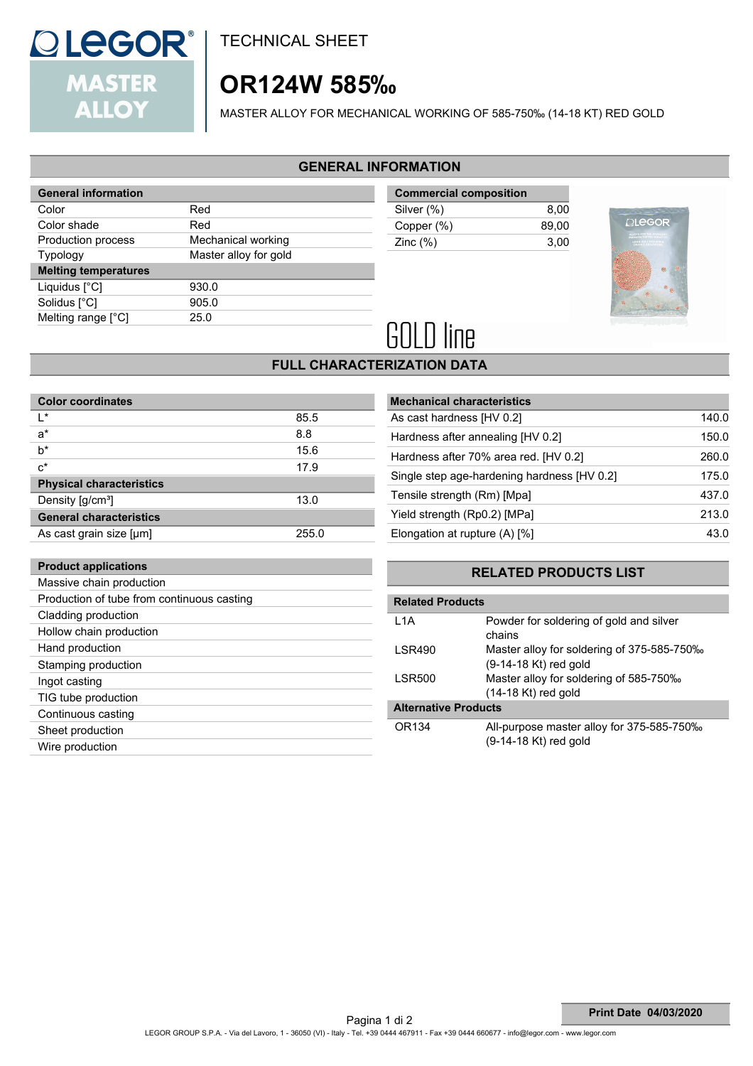

**Product applications**

TECHNICAL SHEET

# **OR124W 585‰**

MASTER ALLOY FOR MECHANICAL WORKING OF 585-750‰ (14-18 KT) RED GOLD

### **GENERAL INFORMATION**

| <b>General information</b>  |                       |
|-----------------------------|-----------------------|
| Color                       | Red                   |
| Color shade                 | Red                   |
| Production process          | Mechanical working    |
| <b>Typology</b>             | Master alloy for gold |
| <b>Melting temperatures</b> |                       |
| Liquidus [°C]               | 930.0                 |
| Solidus [°C]                | 905.0                 |
| Melting range [°C]          | 25.0                  |
|                             |                       |

| <b>Commercial composition</b> |       |
|-------------------------------|-------|
| Silver (%)                    | 8.00  |
| Copper (%)                    | 89.00 |
| Zinc $(\%)$                   | 3.00  |
|                               |       |



# **GOLD line**

## **FULL CHARACTERIZATION DATA**

| <b>Color coordinates</b>        |       |
|---------------------------------|-------|
| ı∗                              | 85.5  |
| $a^*$                           | 8.8   |
| $b^*$                           | 15.6  |
| $c^*$                           | 17.9  |
| <b>Physical characteristics</b> |       |
| Density [g/cm <sup>3</sup> ]    | 13.0  |
| <b>General characteristics</b>  |       |
| As cast grain size [µm]         | 255.0 |

| <b>Mechanical characteristics</b>           |       |
|---------------------------------------------|-------|
| As cast hardness [HV 0.2]                   | 140.0 |
| Hardness after annealing [HV 0.2]           | 150.0 |
| Hardness after 70% area red. [HV 0.2]       | 260.0 |
| Single step age-hardening hardness [HV 0.2] | 175.0 |
| Tensile strength (Rm) [Mpa]                 | 437.0 |
| Yield strength (Rp0.2) [MPa]                | 213.0 |
| Elongation at rupture (A) [%]               | 43.0  |

## **RELATED PRODUCTS LIST**

| Massive chain production                   |                             |                                            |  |  |
|--------------------------------------------|-----------------------------|--------------------------------------------|--|--|
| Production of tube from continuous casting |                             | <b>Related Products</b>                    |  |  |
| Cladding production                        | L1A                         | Powder for soldering of gold and silver    |  |  |
| Hollow chain production                    |                             | chains                                     |  |  |
| Hand production                            | <b>LSR490</b>               | Master alloy for soldering of 375-585-750‰ |  |  |
| Stamping production                        |                             | (9-14-18 Kt) red gold                      |  |  |
| Ingot casting                              | LSR500                      | Master alloy for soldering of 585-750‰     |  |  |
| TIG tube production                        |                             | $(14-18$ Kt) red gold                      |  |  |
| Continuous casting                         | <b>Alternative Products</b> |                                            |  |  |
| Sheet production                           | OR134                       | All-purpose master alloy for 375-585-750‰  |  |  |
| Wire production                            |                             | $(9-14-18$ Kt) red gold                    |  |  |
|                                            |                             |                                            |  |  |